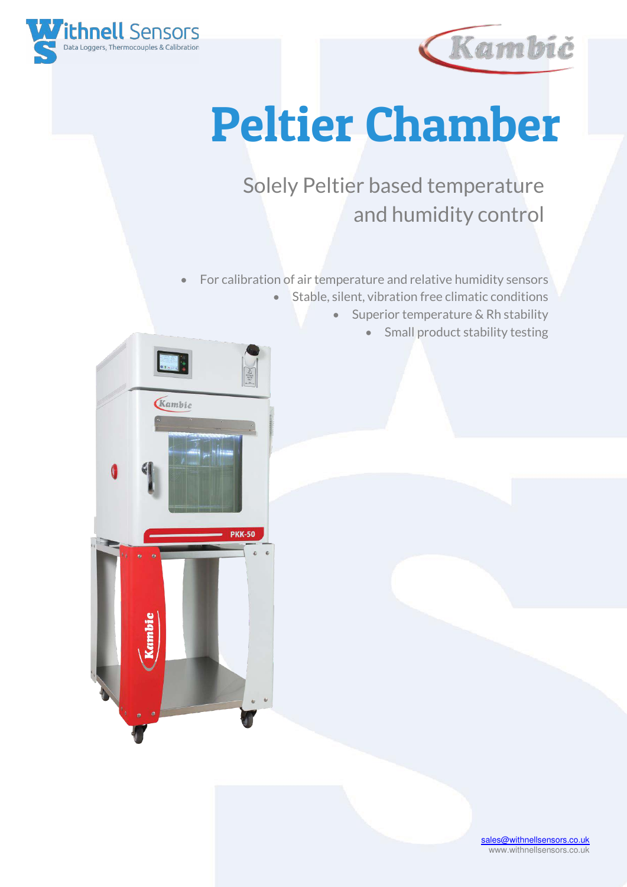



## Peltier Chamber

## Solely Peltier based temperature and humidity control

- For calibration of air temperature and relative humidity sensors • Stable, silent, vibration free climatic conditions
	- Superior temperature & Rh stability
		- Small product stability testing



[sales@withnellsensors.co.uk](mailto:sales@withnellsensors.co.uk) www.withnellsensors.co.uk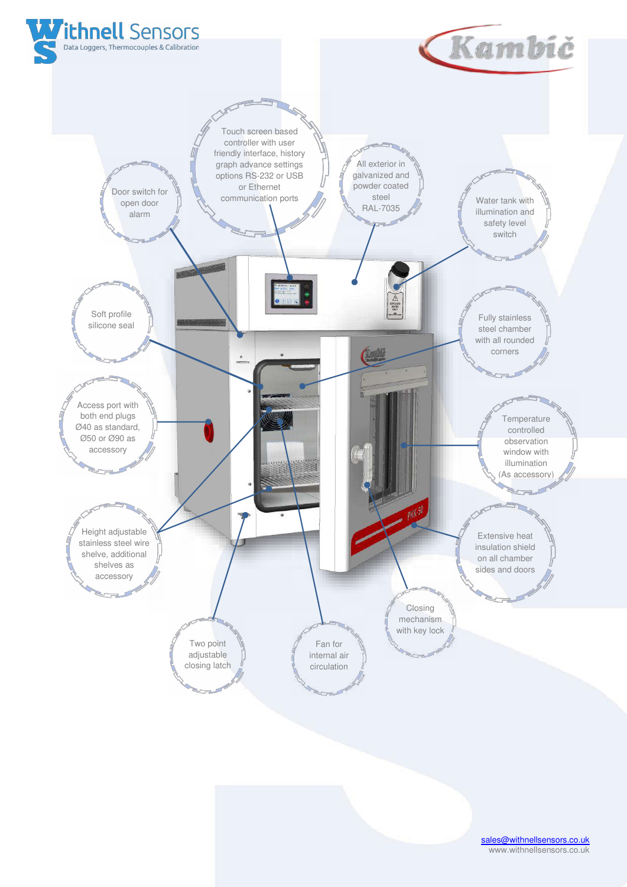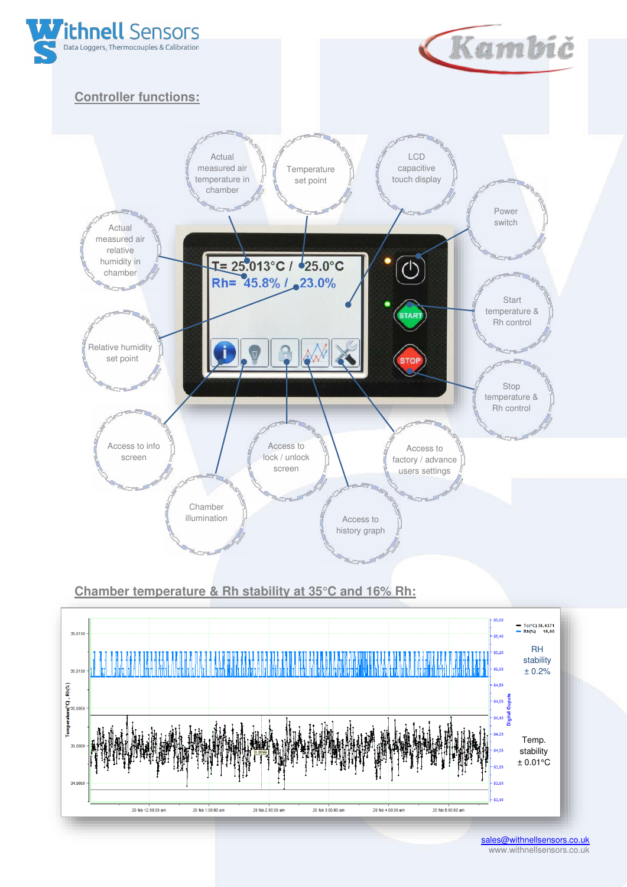

**Chamber temperature & Rh stability at 35°C and 16% Rh:** 



[sales@withnellsensors.co.uk](mailto:sales@withnellsensors.co.uk) www.withnellsensors.co.uk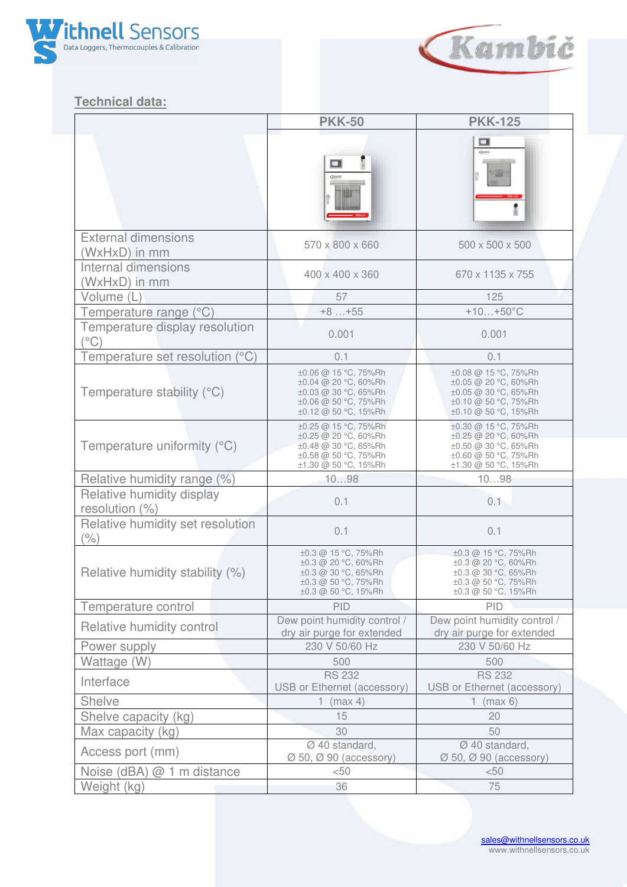



## **Technical data:**

|                                                | <b>PKK-50</b>                                                                                                        | <b>PKK-125</b>                                                                                                       |
|------------------------------------------------|----------------------------------------------------------------------------------------------------------------------|----------------------------------------------------------------------------------------------------------------------|
|                                                | $\Box$<br><b>Grmbs</b>                                                                                               | ▭                                                                                                                    |
| <b>External dimensions</b><br>(WxHxD) in mm    | 570 x 800 x 660                                                                                                      | 500 x 500 x 500                                                                                                      |
| Internal dimensions<br>(WxHxD) in mm           | 400 x 400 x 360                                                                                                      | 670 x 1135 x 755                                                                                                     |
| Volume (L                                      | 57                                                                                                                   | 125                                                                                                                  |
| Temperature range (°C)                         | $+8+55$                                                                                                              | $+10+50^{\circ}C$                                                                                                    |
| Temperature display resolution<br>$(^\circ C)$ | 0.001                                                                                                                | 0.001                                                                                                                |
| Temperature set resolution (°C)                | 0.1                                                                                                                  | 0.1                                                                                                                  |
| Temperature stability (°C)                     | ±0.06 @ 15 °C, 75%Rh<br>±0.04 @ 20 °C, 60%Rh<br>±0.03 @ 30 °C, 65%Rh<br>±0.06 @ 50 °C, 75%Rh<br>±0.12 @ 50 °C, 15%Rh | ±0.08 @ 15 °C, 75%Rh<br>±0.05 @ 20 °C, 60%Rh<br>±0.05 @ 30 °C, 65%Rh<br>±0.10 @ 50 °C, 75%Rh<br>±0.10 @ 50 °C, 15%Rh |
| Temperature uniformity (°C)                    | ±0.25 @ 15 °C, 75%Rh<br>±0.25 @ 20 °C, 60%Rh<br>±0.48 @ 30 °C, 65%Rh<br>±0.58 @ 50 °C, 75%Rh<br>±1.30 @ 50 °C, 15%Rh | ±0.30 @ 15 °C, 75%Rh<br>±0.25 @ 20 °C, 60%Rh<br>±0.50 @ 30 °C, 65%Rh<br>±0.60 @ 50 °C, 75%Rh<br>±1.30 @ 50 °C, 15%Rh |
| Relative humidity range (%)                    | 1098                                                                                                                 | 1098                                                                                                                 |
| Relative humidity display<br>resolution (%)    | 0.1                                                                                                                  | 0.1                                                                                                                  |
| Relative humidity set resolution<br>$(\% )$    | 0.1                                                                                                                  | 0.1                                                                                                                  |
| Relative humidity stability (%)                | ±0.3 @ 15 °C, 75%Rh<br>±0.3 @ 20 °C, 60%Rh<br>±0.3 @ 30 °C, 65%Rh<br>±0.3 @ 50 °C, 75%Rh<br>±0.3 @ 50 °C, 15%Rh      | ±0.3 @ 15 °C, 75%Rh<br>±0.3 @ 20 °C, 60%Rh<br>±0.3 @ 30 °C, 65%Rh<br>±0.3 @ 50 °C, 75%Rh<br>±0.3 @ 50 °C, 15%Rh      |
| Temperature control                            | PID                                                                                                                  | PID                                                                                                                  |
| Relative humidity control                      | Dew point humidity control /<br>dry air purge for extended                                                           | Dew point humidity control /<br>dry air purge for extended                                                           |
| Power supply                                   | 230 V 50/60 Hz                                                                                                       | 230 V 50/60 Hz                                                                                                       |
| Wattage (W)                                    | 500                                                                                                                  | 500                                                                                                                  |
| Interface                                      | <b>RS 232</b><br>USB or Ethernet (accessory)                                                                         | <b>RS 232</b><br>USB or Ethernet (accessory)                                                                         |
| Shelve                                         | 1.<br>(max 4)                                                                                                        | 1 (max $6$ )                                                                                                         |
| Shelve capacity (kg)                           | 15                                                                                                                   | 20                                                                                                                   |
| Max capacity (kg)                              | 30                                                                                                                   | 50                                                                                                                   |
| Access port (mm)                               | Ø 40 standard,<br>$\varnothing$ 50, $\varnothing$ 90 (accessory)                                                     | Ø 40 standard,<br>$\varnothing$ 50, $\varnothing$ 90 (accessory)                                                     |
| Noise (dBA) @ 1 m distance                     | $50$                                                                                                                 | < 50                                                                                                                 |
| Weight (kg)                                    | 36                                                                                                                   | 75                                                                                                                   |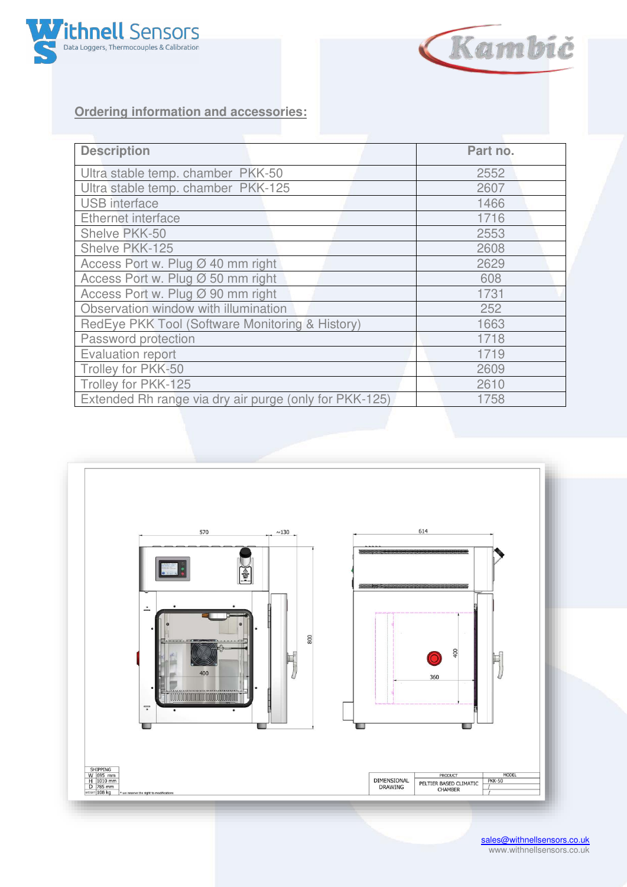



## **Ordering information and accessories:**

| <b>Description</b>                                     | Part no. |
|--------------------------------------------------------|----------|
| Ultra stable temp. chamber PKK-50                      | 2552     |
| Ultra stable temp. chamber PKK-125                     | 2607     |
| <b>USB</b> interface                                   | 1466     |
| Ethernet interface                                     | 1716     |
| Shelve PKK-50                                          | 2553     |
| Shelve PKK-125                                         | 2608     |
| Access Port w. Plug Ø 40 mm right                      | 2629     |
| Access Port w. Plug Ø 50 mm right                      | 608      |
| Access Port w. Plug Ø 90 mm right                      | 1731     |
| Observation window with illumination                   | 252      |
| RedEye PKK Tool (Software Monitoring & History)        | 1663     |
| Password protection                                    | 1718     |
| <b>Evaluation report</b>                               | 1719     |
| Trolley for PKK-50                                     | 2609     |
| Trolley for PKK-125                                    | 2610     |
| Extended Rh range via dry air purge (only for PKK-125) | 1758     |



[sales@withnellsensors.co.uk](mailto:sales@withnellsensors.co.uk) www.withnellsensors.co.uk